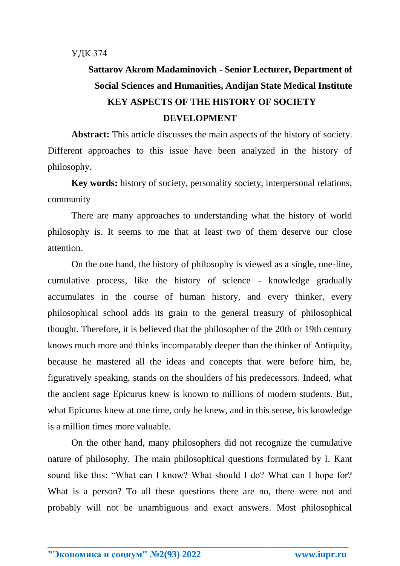## **Sattarov Akrom Madaminovich - Senior Lecturer, Department of Social Sciences and Humanities, Andijan State Medical Institute KEY ASPECTS OF THE HISTORY OF SOCIETY DEVELOPMENT**

**Abstract:** This article discusses the main aspects of the history of society. Different approaches to this issue have been analyzed in the history of philosophy.

**Key words:** history of society, personality society, interpersonal relations, community

There are many approaches to understanding what the history of world philosophy is. It seems to me that at least two of them deserve our close attention.

On the one hand, the history of philosophy is viewed as a single, one-line, cumulative process, like the history of science - knowledge gradually accumulates in the course of human history, and every thinker, every philosophical school adds its grain to the general treasury of philosophical thought. Therefore, it is believed that the philosopher of the 20th or 19th century knows much more and thinks incomparably deeper than the thinker of Antiquity, because he mastered all the ideas and concepts that were before him, he, figuratively speaking, stands on the shoulders of his predecessors. Indeed, what the ancient sage Epicurus knew is known to millions of modern students. But, what Epicurus knew at one time, only he knew, and in this sense, his knowledge is a million times more valuable.

On the other hand, many philosophers did not recognize the cumulative nature of philosophy. The main philosophical questions formulated by I. Kant sound like this: "What can I know? What should I do? What can I hope for? What is a person? To all these questions there are no, there were not and probably will not be unambiguous and exact answers. Most philosophical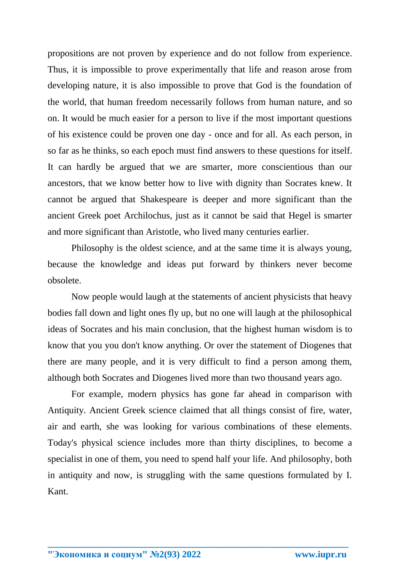propositions are not proven by experience and do not follow from experience. Thus, it is impossible to prove experimentally that life and reason arose from developing nature, it is also impossible to prove that God is the foundation of the world, that human freedom necessarily follows from human nature, and so on. It would be much easier for a person to live if the most important questions of his existence could be proven one day - once and for all. As each person, in so far as he thinks, so each epoch must find answers to these questions for itself. It can hardly be argued that we are smarter, more conscientious than our ancestors, that we know better how to live with dignity than Socrates knew. It cannot be argued that Shakespeare is deeper and more significant than the ancient Greek poet Archilochus, just as it cannot be said that Hegel is smarter and more significant than Aristotle, who lived many centuries earlier.

Philosophy is the oldest science, and at the same time it is always young, because the knowledge and ideas put forward by thinkers never become obsolete.

Now people would laugh at the statements of ancient physicists that heavy bodies fall down and light ones fly up, but no one will laugh at the philosophical ideas of Socrates and his main conclusion, that the highest human wisdom is to know that you you don't know anything. Or over the statement of Diogenes that there are many people, and it is very difficult to find a person among them, although both Socrates and Diogenes lived more than two thousand years ago.

For example, modern physics has gone far ahead in comparison with Antiquity. Ancient Greek science claimed that all things consist of fire, water, air and earth, she was looking for various combinations of these elements. Today's physical science includes more than thirty disciplines, to become a specialist in one of them, you need to spend half your life. And philosophy, both in antiquity and now, is struggling with the same questions formulated by I. Kant.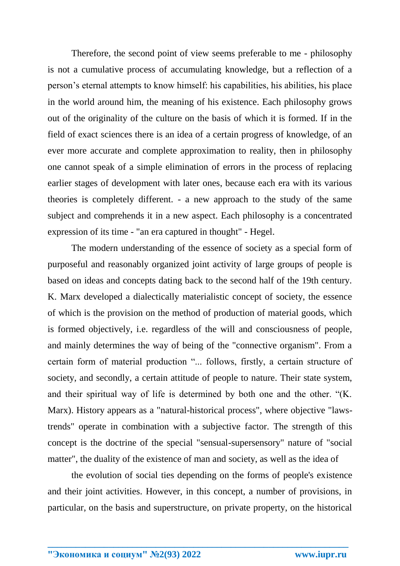Therefore, the second point of view seems preferable to me - philosophy is not a cumulative process of accumulating knowledge, but a reflection of a person's eternal attempts to know himself: his capabilities, his abilities, his place in the world around him, the meaning of his existence. Each philosophy grows out of the originality of the culture on the basis of which it is formed. If in the field of exact sciences there is an idea of a certain progress of knowledge, of an ever more accurate and complete approximation to reality, then in philosophy one cannot speak of a simple elimination of errors in the process of replacing earlier stages of development with later ones, because each era with its various theories is completely different. - a new approach to the study of the same subject and comprehends it in a new aspect. Each philosophy is a concentrated expression of its time - "an era captured in thought" - Hegel.

The modern understanding of the essence of society as a special form of purposeful and reasonably organized joint activity of large groups of people is based on ideas and concepts dating back to the second half of the 19th century. K. Marx developed a dialectically materialistic concept of society, the essence of which is the provision on the method of production of material goods, which is formed objectively, i.e. regardless of the will and consciousness of people, and mainly determines the way of being of the "connective organism". From a certain form of material production "... follows, firstly, a certain structure of society, and secondly, a certain attitude of people to nature. Their state system, and their spiritual way of life is determined by both one and the other. "(K. Marx). History appears as a "natural-historical process", where objective "lawstrends" operate in combination with a subjective factor. The strength of this concept is the doctrine of the special "sensual-supersensory" nature of "social matter", the duality of the existence of man and society, as well as the idea of

the evolution of social ties depending on the forms of people's existence and their joint activities. However, in this concept, a number of provisions, in particular, on the basis and superstructure, on private property, on the historical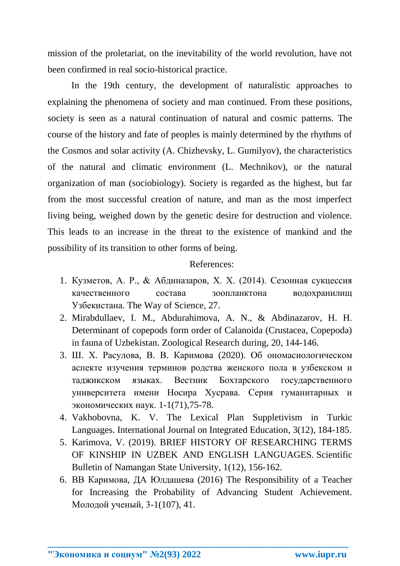mission of the proletariat, on the inevitability of the world revolution, have not been confirmed in real socio-historical practice.

In the 19th century, the development of naturalistic approaches to explaining the phenomena of society and man continued. From these positions, society is seen as a natural continuation of natural and cosmic patterns. The course of the history and fate of peoples is mainly determined by the rhythms of the Cosmos and solar activity (A. Chizhevsky, L. Gumilyov), the characteristics of the natural and climatic environment (L. Mechnikov), or the natural organization of man (sociobiology). Society is regarded as the highest, but far from the most successful creation of nature, and man as the most imperfect living being, weighed down by the genetic desire for destruction and violence. This leads to an increase in the threat to the existence of mankind and the possibility of its transition to other forms of being.

## References:

- 1. Кузметов, А. Р., & Абдиназаров, Х. Х. (2014). Сезонная сукцессия качественного состава зоопланктона водохранилищ Узбекистана. The Way of Science, 27.
- 2. Mirabdullaev, I. M., Abdurahimova, A. N., & Abdinazarov, H. H. Determinant of copepods form order of Calanoida (Crustacea, Copepoda) in fauna of Uzbekistan. Zoological Research during, 20, 144-146.
- 3. Ш. Х. Расулова, В. В. Каримова (2020). Об ономасиологическом аспекте изучения терминов родства женского пола в узбекском и таджикском языках. Вестник Бохтарского государственного университета имени Носира Хусрава. Серия гуманитарных и экономических наук. 1-1(71),75-78.
- 4. Vakhobovna, K. V. The Lexical Plan Suppletivism in Turkic Languages. International Journal on Integrated Education, 3(12), 184-185.
- 5. Karimova, V. (2019). BRIEF HISTORY OF RESEARCHING TERMS OF KINSHIP IN UZBEK AND ENGLISH LANGUAGES. Scientific Bulletin of Namangan State University, 1(12), 156-162.
- 6. ВВ Каримова, ДА Юлдашева (2016) The Responsibility of a Teacher for Increasing the Probability of Advancing Student Achievement. Молодой ученый, 3-1(107), 41.